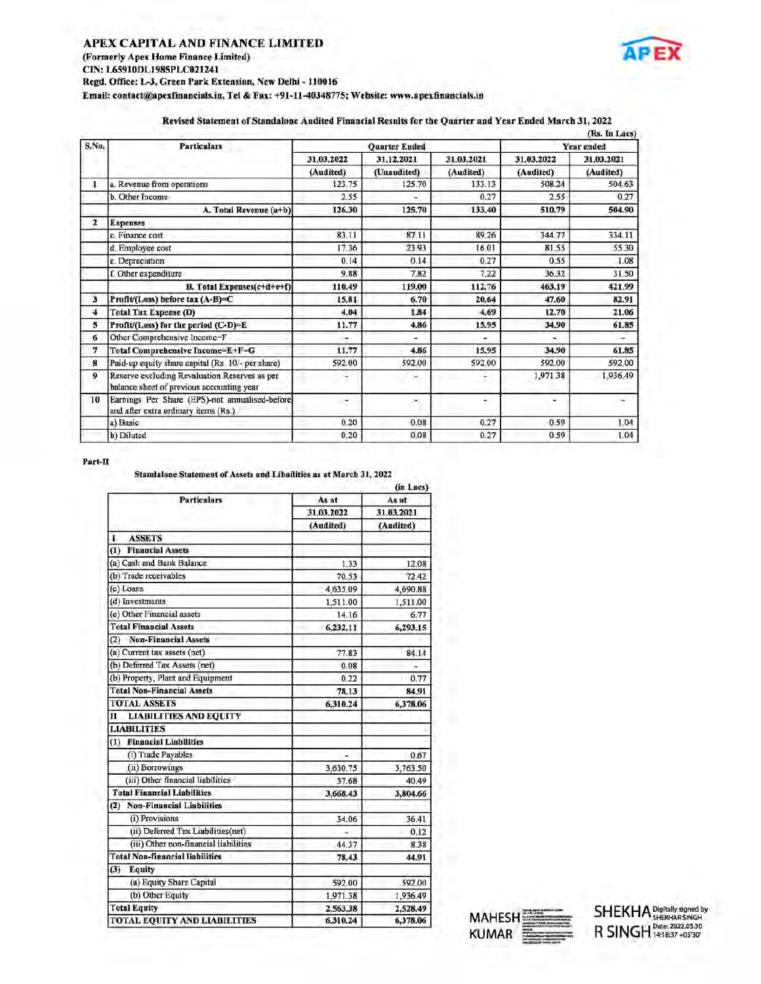# APEX CAPITAL AND FINANCE LIMITED (Formerly Apex Home Finance Limited) CIN: L65910DL1985PLC021241 Regd. Office: L-3, Green Park Extension, New Delhi - 110016 Email: contact@apexfinancials.in, Tel & Fax: +91-11-40348775; Website: www.apexfinancials.in APEX CAPITAL AND FINANCE LIMITED<br>
(Formerly Apex Home Finance Limited)<br>
CIN: L65910DL1985PLC021241<br>
Regd. Office: L-3, Green Park Extension, New Delhi - 110016<br>
Email: contact@apexfinancials.in, Tel & Fax: +91-11-40348775; APEX CAPITAL AND FINANCE LIMITED<br>
(Formerly Apex Home Finance Limited)<br>
CIN: L65910DL1985PLC021241<br>
Regd. Office: L-3, Green Park Extension, New Delhi - 110016<br>
Email: contact@apexfinancials.in, Tel & Fax: +91-11-40348775; |<br>|11 – 110016<br>|11 –40348775; Website: www.apexfinancia<br>|11 –40348775; Website: www.apexfinancia<br>|21.03.2022 ||21.12.2021 ||21.03



### Revised Statement of Standalone Audited Financial Results for the Quarter and Year Ended March 31, 2022

|              | APEX CAPITAL AND FINANCE LIMITED<br>(Formerly Apex Home Finance Limited)<br>CIN: L65910DL1985PLC021241<br>Regd. Office: L-3, Green Park Extension, New Delhi - 110016<br>Email: contact@apexfinancials.in, Tel & Fax: +91-11-40348775; Website: www.apexfinancials.in<br>Revised Statement of Standalone Audited Financial Results for the Quarter and Year Ended March 31, 2022 |                     |                                  |                     |                     |                             |
|--------------|----------------------------------------------------------------------------------------------------------------------------------------------------------------------------------------------------------------------------------------------------------------------------------------------------------------------------------------------------------------------------------|---------------------|----------------------------------|---------------------|---------------------|-----------------------------|
| S.No.        | <b>Particulars</b>                                                                                                                                                                                                                                                                                                                                                               |                     | <b>Quarter Ended</b>             |                     |                     | (Rs. In Lacs)<br>Year ended |
|              |                                                                                                                                                                                                                                                                                                                                                                                  | 31.03.2022          | 31.12.2021                       | 31.03.2021          | 31.03.2022          | 31.03.2021                  |
| Ł            | a. Revenue from operations                                                                                                                                                                                                                                                                                                                                                       | (Audited)<br>123.75 | (Unaudited)<br>125.70            | (Audited)<br>133.13 | (Audited)<br>508.24 | (Audited)<br>504.63         |
|              | b. Other Income                                                                                                                                                                                                                                                                                                                                                                  | 2.55                | ×                                | 0.27                | 2.55                | 0.27                        |
|              | A. Total Revenue (a+b)                                                                                                                                                                                                                                                                                                                                                           | 126,30              | 125,70                           | 133.40              | 510.79              | 504.90                      |
| $\mathbf{z}$ | <b>Expenses</b>                                                                                                                                                                                                                                                                                                                                                                  |                     |                                  |                     |                     |                             |
|              | c. Finance cost<br>d. Employee cost                                                                                                                                                                                                                                                                                                                                              | 83.11<br>17.36      | 87.11<br>23.93                   | 89.26<br>16.01      | 344.77<br>81.55     | 334.11<br>55.30             |
|              | e. Depreciation                                                                                                                                                                                                                                                                                                                                                                  | 0.14                | 0.14                             | 0.27                | 0.55                | 1.08                        |
|              | f. Other expenditure                                                                                                                                                                                                                                                                                                                                                             | 9.88                | 7.82                             | 7.22                | 36.32               | 31.50                       |
|              | B. Total Expenses(c+d+e+f)                                                                                                                                                                                                                                                                                                                                                       | 110.49              | 119.00                           | 112.76              | 463.19              | 421.99                      |
| 3            | Profit/(Loss) before tax (A-B)=C                                                                                                                                                                                                                                                                                                                                                 | 15.81               | 6.70                             | 20.64               | 47.60               | 82.91                       |
| 4<br>5       | <b>Total Tax Expense (D)</b><br>Profit/(Loss) for the period (C-D)=E.                                                                                                                                                                                                                                                                                                            | 4.04<br>11.77       | 1.84<br>4.86                     | 4.69<br>15.95       | 12.70<br>34.90      | 21.06<br>61.85              |
| 6            | Other Comprehensive Income=F                                                                                                                                                                                                                                                                                                                                                     | ×                   | ×                                |                     | ×.                  | ×.                          |
|              | Total Comprehensive Income=E+F=G                                                                                                                                                                                                                                                                                                                                                 | 11.77               | 4.86                             | 15.95               | 34.90               | 61.85                       |
| 7            | Paid-up equity share capital (Rs. 10/- per share)                                                                                                                                                                                                                                                                                                                                | 592.00              | 592.00                           | 592.00              | 592.00              | 592.00                      |
| 8            | Reserve excluding Revaluation Reserves as per                                                                                                                                                                                                                                                                                                                                    | ۳                   | ×                                | ĭ                   | 1,971.38            | 1,936.49                    |
| 9            | balance sheet of previous accounting year                                                                                                                                                                                                                                                                                                                                        | ۳                   | ×                                | ۳                   | ÷                   | ÷                           |
|              | Earnings Per Share (EPS)-not annualised-before                                                                                                                                                                                                                                                                                                                                   |                     | 0.08                             | 0.27                | 0.59                | 1.04                        |
| 10           | and after extra ordinary items (Rs.)<br>a) Basic                                                                                                                                                                                                                                                                                                                                 | 0.20                | 0.08                             | 0.27                | 0.59                | 1.04                        |
|              | b) Diluted                                                                                                                                                                                                                                                                                                                                                                       | 0.20                |                                  |                     |                     |                             |
|              | Standalone Statement of Assets and Libailities as at March 31, 2022<br><b>Particulars</b>                                                                                                                                                                                                                                                                                        | As at<br>31.03.2022 | (in Lacs)<br>As at<br>31.03.2021 |                     |                     |                             |
|              |                                                                                                                                                                                                                                                                                                                                                                                  | (Audited)           | (Audited)                        |                     |                     |                             |
|              | <b>ASSETS</b><br>1                                                                                                                                                                                                                                                                                                                                                               |                     |                                  |                     |                     |                             |
|              | <b>Financial Assets</b><br>(1)                                                                                                                                                                                                                                                                                                                                                   |                     |                                  |                     |                     |                             |
|              | (a) Cash and Bank Balance                                                                                                                                                                                                                                                                                                                                                        | 1.33                | 12.08                            |                     |                     |                             |
|              | (b) Trade receivables<br>(c) Loans                                                                                                                                                                                                                                                                                                                                               | 70.53<br>4,635.09   | 72.42<br>4,690.88                |                     |                     |                             |
| Part-II      | (d) Investments                                                                                                                                                                                                                                                                                                                                                                  | 1,511.00            | 1,511.00                         |                     |                     |                             |

### Part-II

### Standalone Statement of Assets and Libailities as at March 31, 2022

| Total Tax Expense (D)                                                                      | 4.04                     | 1.84              | 4.69   | 12.70    | 21.00         |
|--------------------------------------------------------------------------------------------|--------------------------|-------------------|--------|----------|---------------|
| Profit/(Loss) for the period (C-D)=E.                                                      | 11.77                    | 4.86              | 15.95  | 34.90    | 61.85         |
| Other Comprehensive Income=F                                                               | $\sim$                   | ×.                |        |          |               |
| Total Comprehensive Income=E+F=G                                                           | 11.77                    | 4.86              | 15.95  | 34.90    | 61.85         |
| Paid-up equity share capital (Rs. 10/- per share)                                          | 592.00                   | 592.00            | 592.00 | 592.00   | 592.00        |
| Reserve excluding Revaluation Reserves as per<br>balance sheet of previous accounting year |                          | ×                 | ۳      | 1,971.38 | 1.936.49      |
| Earnings Per Share (EPS)-not annualised-before<br>and after extra ordinary items (Rs.)     | ×                        | ×                 | Y.     | ۰        | ÷             |
| a) Basic                                                                                   | 0.20                     | 0.08              | 0.27   | 0.59     | 1.04          |
| b) Diluted                                                                                 | 0.20                     | 0.08              | 0.27   | 0.59     | 1.04          |
| т<br>Standalone Statement of Assets and Libailities as at March 31, 2022                   |                          | (in Lacs)         |        |          |               |
| <b>Particulars</b>                                                                         | As at                    | As at             |        |          |               |
|                                                                                            | 31.03.2022               | 31.03.2021        |        |          |               |
|                                                                                            | (Audited)                | (Audited)         |        |          |               |
| <b>ASSETS</b><br>ı                                                                         |                          |                   |        |          |               |
| <b>Financial Assets</b><br>$\left(1\right)$                                                |                          |                   |        |          |               |
| (a) Cash and Bank Balance                                                                  | 1.33                     | 12.08             |        |          |               |
| (b) Trade receivables                                                                      | 70.53                    | 72.42             |        |          |               |
| (c) Loans                                                                                  | 4,635.09                 | 4,690.88          |        |          |               |
| (d) Investments                                                                            | 1,511.00                 | 1,511.00          |        |          |               |
| (e) Other Financial assets                                                                 | 14.16                    | 6.77              |        |          |               |
| <b>Total Financial Assets</b>                                                              | 6,232.11                 | 6,293.15          |        |          |               |
| <b>Non-Financial Assets</b><br>(2)                                                         |                          |                   |        |          |               |
| (a) Current tax assets (net)                                                               | 77.83                    | 84.14             |        |          |               |
| (b) Deferred Tax Assets (net)                                                              | 0.08                     |                   |        |          |               |
| (b) Property, Plant and Equipment<br><b>Total Non-Financial Assets</b>                     | 0.22                     | 0.77              |        |          |               |
| <b>TOTAL ASSETS</b>                                                                        | 78.13<br>6,310.24        | 84.91<br>6,378.06 |        |          |               |
| <b>LIABILITIES AND EQUITY</b><br>п                                                         |                          |                   |        |          |               |
| <b>LIABILITIES</b>                                                                         |                          |                   |        |          |               |
| <b>Financial Liabilities</b><br>(1)                                                        |                          |                   |        |          |               |
| (i) Trade Payables                                                                         |                          | 0.67              |        |          |               |
| (ii) Borrowings                                                                            | 3,630.75                 | 3,763.50          |        |          |               |
| (iii) Other financial liabilities                                                          | 37.68                    | 40.49             |        |          |               |
| <b>Total Financial Liabilities</b>                                                         | 3,668.43                 | 3,804.66          |        |          |               |
| <b>Non-Financial Liabilities</b><br>(2)                                                    |                          |                   |        |          |               |
| (i) Provisions                                                                             | 34.06                    | 36.41             |        |          |               |
| (ii) Deferred Tax Liabilities(net)                                                         | $\overline{\phantom{a}}$ | 0.12              |        |          |               |
| (iii) Other non-financial liabilities                                                      | 44.37                    | 8.38              |        |          |               |
|                                                                                            |                          |                   |        |          |               |
|                                                                                            |                          |                   |        |          |               |
|                                                                                            | 78.43                    | 44.91             |        |          |               |
| (a) Equity Share Capital                                                                   | 592.00                   | 592.00            |        |          |               |
| (b) Other Equity                                                                           | 1,971.38                 | 1,936.49          |        |          |               |
| <b>Total Non-financial liabilities</b><br>(3) Equity<br><b>Total Equity</b>                | 2.563.38                 | 2,528.49          |        | MAHESH   | <b>SHEKHA</b> |

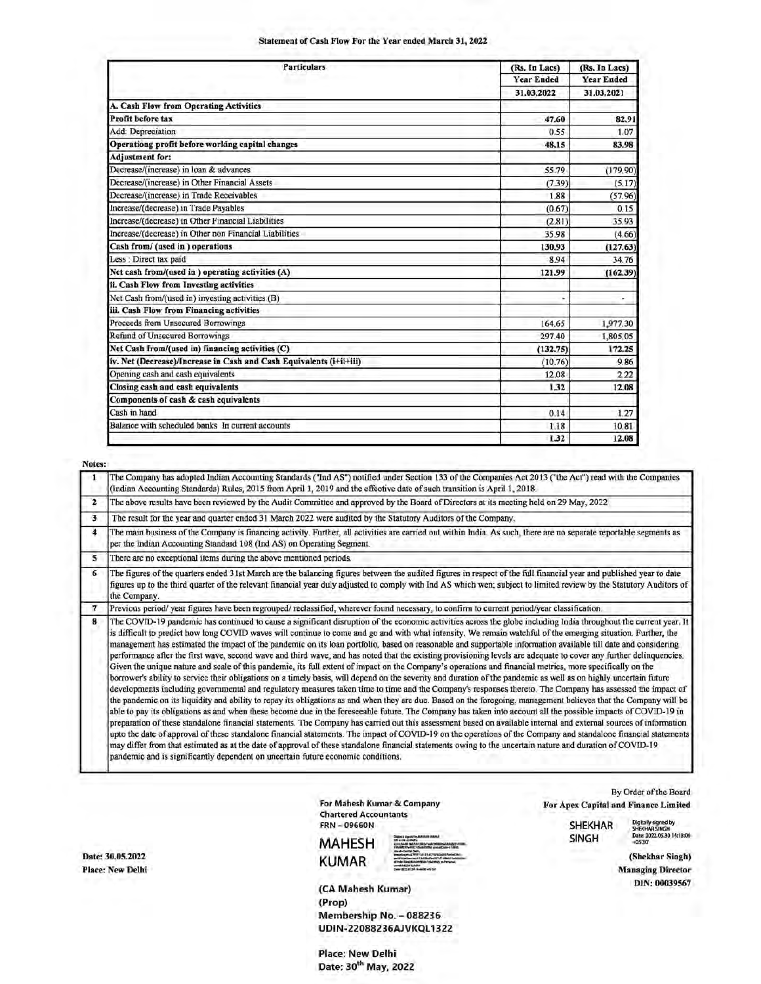# Statement of Cash Flow For the Statement of Cash Flow For the Statement of Cash Flow For the Statement of Cash Statement of Cash Flow For the Year ended March 31, 2022

| Statement of Cash Flow For the Year ended March 31, 2022                                                                                                                                                                                                                                              |                   |                      |
|-------------------------------------------------------------------------------------------------------------------------------------------------------------------------------------------------------------------------------------------------------------------------------------------------------|-------------------|----------------------|
|                                                                                                                                                                                                                                                                                                       |                   |                      |
| <b>Particulars</b>                                                                                                                                                                                                                                                                                    | (Rs. In Lacs)     | (Rs. In Lacs)        |
|                                                                                                                                                                                                                                                                                                       | <b>Year Ended</b> | <b>Year Ended</b>    |
|                                                                                                                                                                                                                                                                                                       | 31.03.2022        | 31.03.2021           |
| A. Cash Flow from Operating Activities                                                                                                                                                                                                                                                                |                   | 82.91                |
| <b>Profit before tax</b>                                                                                                                                                                                                                                                                              | 47.60             |                      |
| Add: Depreciation<br>Operationg profit before working capital changes                                                                                                                                                                                                                                 | 0.55<br>48.15     | 83.98                |
| <b>Adjustment for:</b>                                                                                                                                                                                                                                                                                |                   |                      |
| Decrease/(increase) in loan & advances                                                                                                                                                                                                                                                                | 55.79             | (179.90)             |
| Decrease/(increase) in Other Financial Assets                                                                                                                                                                                                                                                         | (7.39)            | (5.17)               |
| Decrease/(increase) in Trade Receivables                                                                                                                                                                                                                                                              | 1.88              | (57.96)              |
| Increase/(decrease) in Trade Payables<br>Increase/(decrease) in Other Financial Liabilities                                                                                                                                                                                                           | (0.67)            |                      |
| Increase/(decrease) in Other non Financial Liabilities                                                                                                                                                                                                                                                | (2.81)<br>35.98   | 35.93<br>(4.66)      |
| Cash from/ (used in) operations                                                                                                                                                                                                                                                                       | 130.93            | (127.63)             |
| Less : Direct tax paid                                                                                                                                                                                                                                                                                | 8.94              | 34.76                |
| Net cash from/(used in ) operating activities (A)                                                                                                                                                                                                                                                     | 121.99            | (162.39)             |
| ii. Cash Flow from Investing activities                                                                                                                                                                                                                                                               |                   |                      |
| Net Cash from/(used in) investing activities (B)                                                                                                                                                                                                                                                      | s                 |                      |
| iii. Cash Flow from Financing activities                                                                                                                                                                                                                                                              |                   |                      |
| Proceeds from Unsecured Borrowings<br><b>Refind of Unsecured Borrowings</b>                                                                                                                                                                                                                           | 164.65<br>297.40  | 1,977.30<br>1,805.05 |
| Net Cash from/(used in) financing activities (C)                                                                                                                                                                                                                                                      | (132.75)          | 172.25               |
| iv. Net (Decrease)/Increase in Cash and Cash Equivalents (i+ii+iii)                                                                                                                                                                                                                                   | (10.76)           |                      |
| Opening cash and cash equivalents                                                                                                                                                                                                                                                                     | 12.08             |                      |
| Closing cash and cash equivalents                                                                                                                                                                                                                                                                     | 1.32              | 12.08                |
| Components of cash & cash equivalents                                                                                                                                                                                                                                                                 |                   |                      |
| Cash in hand                                                                                                                                                                                                                                                                                          | 0.14              |                      |
| Balance with scheduled banks In current accounts                                                                                                                                                                                                                                                      | 1.18              | 10.81<br>12.08       |
|                                                                                                                                                                                                                                                                                                       | 1.32              |                      |
|                                                                                                                                                                                                                                                                                                       |                   |                      |
|                                                                                                                                                                                                                                                                                                       |                   |                      |
|                                                                                                                                                                                                                                                                                                       |                   |                      |
| (Indian Accounting Standards) Rules, 2015 from April 1, 2019 and the effective date of such transition is April 1, 2018.                                                                                                                                                                              |                   |                      |
| The above results have been reviewed by the Audit Committee and approved by the Board of Directors at its meeting held on 29 May, 2022                                                                                                                                                                |                   |                      |
| The Company has adopted Indian Accounting Standards ("Ind AS") notified under Section 133 of the Companies Act 2013 ("the Act") read with the<br>The result for the year and quarter ended 31 March 2022 were audited by the Statutory Auditors of the Company.                                       |                   |                      |
| The main business of the Company is financing activity. Further, all activities are carried out within India As such, there are no separate reportable                                                                                                                                                |                   |                      |
|                                                                                                                                                                                                                                                                                                       |                   |                      |
|                                                                                                                                                                                                                                                                                                       |                   |                      |
| per the Indian Accounting Standard 108 (Ind AS) on Operating Segment.<br>There are no exceptional items during the above mentioned periods.<br>The figures of the quarters ended 31st March are the balancing figures between the audited figures in respect of the full financial year and published |                   |                      |

| Notes:       |                                                                                                                                                                                                                                                                                                                                                                                                                                                                                                                                                                                                                                                                                                                                                                                                                                                                                                                                                                                                                                                                                                                                                                                                                                                                                                                                                                                                                                                                                                                                                                                                                                                                                                                                                                                                                                                                                                                                                                                                                                                                                                            |
|--------------|------------------------------------------------------------------------------------------------------------------------------------------------------------------------------------------------------------------------------------------------------------------------------------------------------------------------------------------------------------------------------------------------------------------------------------------------------------------------------------------------------------------------------------------------------------------------------------------------------------------------------------------------------------------------------------------------------------------------------------------------------------------------------------------------------------------------------------------------------------------------------------------------------------------------------------------------------------------------------------------------------------------------------------------------------------------------------------------------------------------------------------------------------------------------------------------------------------------------------------------------------------------------------------------------------------------------------------------------------------------------------------------------------------------------------------------------------------------------------------------------------------------------------------------------------------------------------------------------------------------------------------------------------------------------------------------------------------------------------------------------------------------------------------------------------------------------------------------------------------------------------------------------------------------------------------------------------------------------------------------------------------------------------------------------------------------------------------------------------------|
|              | The Company has adopted Indian Accounting Standards ("Ind AS") notified under Section 133 of the Companies Act 2013 ("the Act") read with the Companies<br>(Indian Accounting Standards) Rules, 2015 from April 1, 2019 and the effective date of such transition is April 1, 2018.                                                                                                                                                                                                                                                                                                                                                                                                                                                                                                                                                                                                                                                                                                                                                                                                                                                                                                                                                                                                                                                                                                                                                                                                                                                                                                                                                                                                                                                                                                                                                                                                                                                                                                                                                                                                                        |
| $\mathbf{z}$ | The above results have been reviewed by the Audit Committee and approved by the Board of Directors at its meeting held on 29 May, 2022                                                                                                                                                                                                                                                                                                                                                                                                                                                                                                                                                                                                                                                                                                                                                                                                                                                                                                                                                                                                                                                                                                                                                                                                                                                                                                                                                                                                                                                                                                                                                                                                                                                                                                                                                                                                                                                                                                                                                                     |
| 3            | The result for the year and quarter ended 31 March 2022 were audited by the Statutory Auditors of the Company.                                                                                                                                                                                                                                                                                                                                                                                                                                                                                                                                                                                                                                                                                                                                                                                                                                                                                                                                                                                                                                                                                                                                                                                                                                                                                                                                                                                                                                                                                                                                                                                                                                                                                                                                                                                                                                                                                                                                                                                             |
| 4            | The main business of the Company is financing activity. Further, all activities are carried out within India As such, there are no separate reportable segments as<br>per the Indian Accounting Standard 108 (Ind AS) on Operating Segment.                                                                                                                                                                                                                                                                                                                                                                                                                                                                                                                                                                                                                                                                                                                                                                                                                                                                                                                                                                                                                                                                                                                                                                                                                                                                                                                                                                                                                                                                                                                                                                                                                                                                                                                                                                                                                                                                |
| 5            | There are no exceptional items during the above mentioned periods.                                                                                                                                                                                                                                                                                                                                                                                                                                                                                                                                                                                                                                                                                                                                                                                                                                                                                                                                                                                                                                                                                                                                                                                                                                                                                                                                                                                                                                                                                                                                                                                                                                                                                                                                                                                                                                                                                                                                                                                                                                         |
| 6            | The figures of the quarters ended 31st March are the balancing figures between the audited figures in respect of the full financial year and published year to date<br>figures up to the third quarter of the relevant financial year duly adjusted to comply with Ind AS which wen; subject to limited review by the Statutory Auditors of<br>the Company.                                                                                                                                                                                                                                                                                                                                                                                                                                                                                                                                                                                                                                                                                                                                                                                                                                                                                                                                                                                                                                                                                                                                                                                                                                                                                                                                                                                                                                                                                                                                                                                                                                                                                                                                                |
| 7            | Previous period/ year figures have been regrouped/ reclassified, wherever found necessary, to confirm to current period/year classification.                                                                                                                                                                                                                                                                                                                                                                                                                                                                                                                                                                                                                                                                                                                                                                                                                                                                                                                                                                                                                                                                                                                                                                                                                                                                                                                                                                                                                                                                                                                                                                                                                                                                                                                                                                                                                                                                                                                                                               |
| 8            | The COVID-19 pandemic has continued to cause a significant disruption of the economic activities across the globe including India throughout the current year. It<br>is difficult to predict how long COVID waves will continue to come and go and with what intensity. We remain watchful of the emerging situation. Further, the<br>management has estimated the impact of the pandemic on its loan portfolio, based on reasonable and supportable information available till date and considering<br>performance after the first wave, second wave and third wave, and has noted that the existing provisioning levels are adequate to cover any further delinquencies.<br>Given the unique nature and scale of this pandemic, its full extent of impact on the Company's operations and financial metrics, more specifically on the<br>borrower's ability to service their obligations on a timely basis, will depend on the severity and duration of the pandemic as well as on highly uncertain future<br>developments including governmental and regulatory measures taken time to time and the Company's responses thereto. The Company has assessed the impact of<br>the pandemic on its liquidity and ability to repay its obligations as and when they are due. Based on the foregoing, management believes that the Company will be<br>able to pay its obligations as and when these become due in the foreseeable future. The Company has taken into account all the possible impacts of COVID-19 in<br>preparation of these standalone financial statements. The Company has carried out this assessment based on available internal and external sources of information<br>upto the date of approval of these standalone financial statements. The impact of COVID-19 on the operations of the Company and standalone financial statements<br>may differ from that estimated as at the date of approval of these standalone financial statements owing to the uncertain nature and duration of COVID-19<br>pandemic and is significantly dependent on uncertain future economic conditions. |

Chartered Accountants

EXAMPLE SUNTER FURNISH FURNISH FURNISH SINGLE SUNTER STATES OF THE CONTRACT ON THE CONTRACT ON THE CONTRACT ON THE CONTRACT OF THE CONTRACT OF THE CONTRACT OF THE CONTRACT OF THE CONTRACT OF THE CONTRACT OF THE CONTRACT OF Place: New Delhi Managing Director **KUMAR** Dues and Director

By Order of the Board For Mahesh Kumar & Company For Apex Capital and Finance Limited

FRN - 09660N SHEKHAR — Digitally signed by

MA Hy ES H sates ——— SING H wisi 3072.05.30 14:18:06

(CA Mahesh Kumar) DIN: <sup>00039567</sup> (Prop) Membership No. - 088236 UDIN-22088236AJVKQL1322

Place: New Delhi Date: 30<sup>th</sup> May, 2022